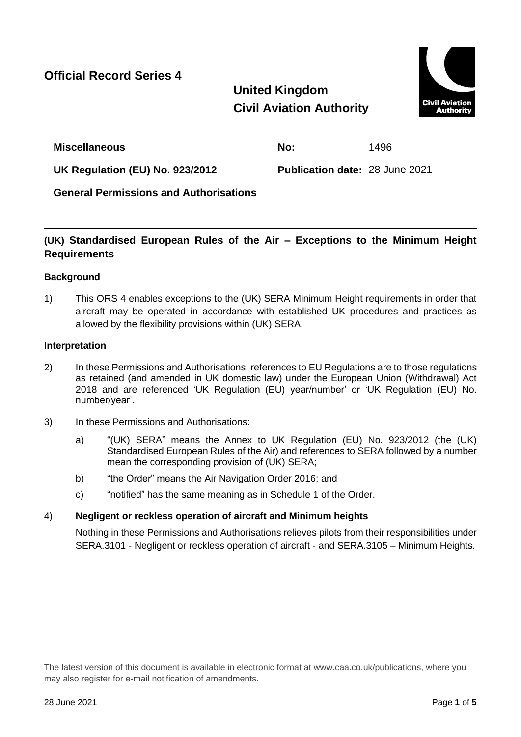**Official Record Series 4**

# **United Kingdom Civil Aviation Authority**



**Miscellaneous No:** 1496

**UK Regulation (EU) No. 923/2012 Publication date:** 28 June 2021

**General Permissions and Authorisations**

# **(UK) Standardised European Rules of the Air – Exceptions to the Minimum Height Requirements**

# **Background**

1) This ORS 4 enables exceptions to the (UK) SERA Minimum Height requirements in order that aircraft may be operated in accordance with established UK procedures and practices as allowed by the flexibility provisions within (UK) SERA.

# **Interpretation**

- 2) In these Permissions and Authorisations, references to EU Regulations are to those regulations as retained (and amended in UK domestic law) under the European Union (Withdrawal) Act 2018 and are referenced 'UK Regulation (EU) year/number' or 'UK Regulation (EU) No. number/year'.
- 3) In these Permissions and Authorisations:
	- a) "(UK) SERA" means the Annex to UK Regulation (EU) No. 923/2012 (the (UK) Standardised European Rules of the Air) and references to SERA followed by a number mean the corresponding provision of (UK) SERA;
	- b) "the Order" means the Air Navigation Order 2016; and
	- c) "notified" has the same meaning as in Schedule 1 of the Order.

# 4) **Negligent or reckless operation of aircraft and Minimum heights**

Nothing in these Permissions and Authorisations relieves pilots from their responsibilities under SERA.3101 - Negligent or reckless operation of aircraft - and SERA.3105 – Minimum Heights.

The latest version of this document is available in electronic format at www.caa.co.uk/publications, where you may also register for e-mail notification of amendments.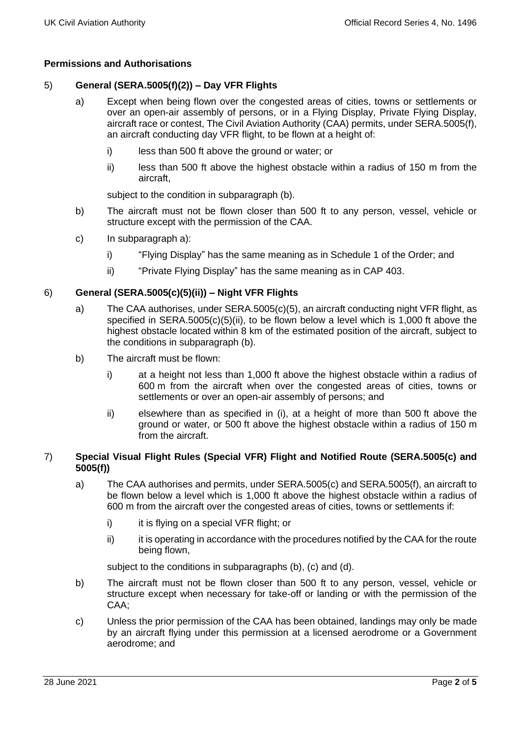## **Permissions and Authorisations**

## 5) **General (SERA.5005(f)(2)) – Day VFR Flights**

- a) Except when being flown over the congested areas of cities, towns or settlements or over an open-air assembly of persons, or in a Flying Display, Private Flying Display, aircraft race or contest, The Civil Aviation Authority (CAA) permits, under SERA.5005(f), an aircraft conducting day VFR flight, to be flown at a height of:
	- i) less than 500 ft above the ground or water; or
	- ii) less than 500 ft above the highest obstacle within a radius of 150 m from the aircraft,

subject to the condition in subparagraph (b).

- b) The aircraft must not be flown closer than 500 ft to any person, vessel, vehicle or structure except with the permission of the CAA.
- c) In subparagraph a):
	- i) "Flying Display" has the same meaning as in Schedule 1 of the Order; and
	- ii) "Private Flying Display" has the same meaning as in CAP 403.

#### 6) **General (SERA.5005(c)(5)(ii)) – Night VFR Flights**

- a) The CAA authorises, under SERA.5005(c)(5), an aircraft conducting night VFR flight, as specified in SERA.5005(c)(5)(ii), to be flown below a level which is 1,000 ft above the highest obstacle located within 8 km of the estimated position of the aircraft, subject to the conditions in subparagraph (b).
- b) The aircraft must be flown:
	- i) at a height not less than 1,000 ft above the highest obstacle within a radius of 600 m from the aircraft when over the congested areas of cities, towns or settlements or over an open-air assembly of persons; and
	- ii) elsewhere than as specified in (i), at a height of more than 500 ft above the ground or water, or 500 ft above the highest obstacle within a radius of 150 m from the aircraft.

#### 7) **Special Visual Flight Rules (Special VFR) Flight and Notified Route (SERA.5005(c) and 5005(f))**

- a) The CAA authorises and permits, under SERA.5005(c) and SERA.5005(f), an aircraft to be flown below a level which is 1,000 ft above the highest obstacle within a radius of 600 m from the aircraft over the congested areas of cities, towns or settlements if:
	- i) it is flying on a special VFR flight; or
	- ii) it is operating in accordance with the procedures notified by the CAA for the route being flown,

subject to the conditions in subparagraphs (b), (c) and (d).

- b) The aircraft must not be flown closer than 500 ft to any person, vessel, vehicle or structure except when necessary for take-off or landing or with the permission of the CAA;
- c) Unless the prior permission of the CAA has been obtained, landings may only be made by an aircraft flying under this permission at a licensed aerodrome or a Government aerodrome; and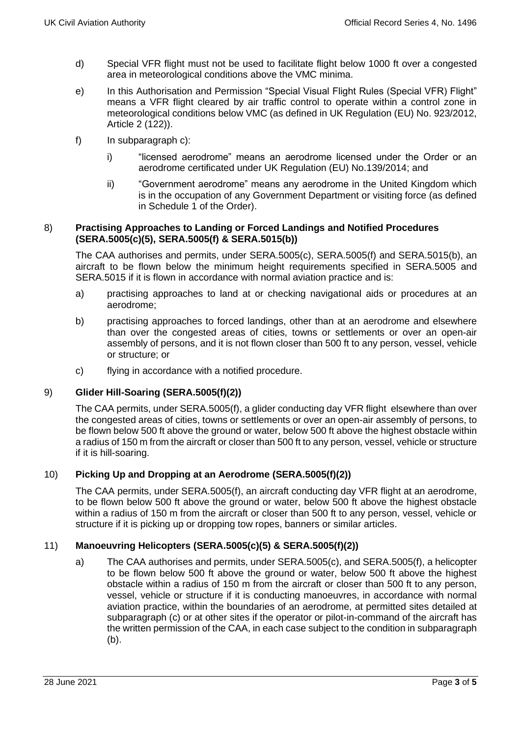- d) Special VFR flight must not be used to facilitate flight below 1000 ft over a congested area in meteorological conditions above the VMC minima.
- e) In this Authorisation and Permission "Special Visual Flight Rules (Special VFR) Flight" means a VFR flight cleared by air traffic control to operate within a control zone in meteorological conditions below VMC (as defined in UK Regulation (EU) No. 923/2012, Article 2 (122)).
- f) In subparagraph c):
	- i) "licensed aerodrome" means an aerodrome licensed under the Order or an aerodrome certificated under UK Regulation (EU) No.139/2014; and
	- ii) "Government aerodrome" means any aerodrome in the United Kingdom which is in the occupation of any Government Department or visiting force (as defined in Schedule 1 of the Order).

#### 8) **Practising Approaches to Landing or Forced Landings and Notified Procedures (SERA.5005(c)(5), SERA.5005(f) & SERA.5015(b))**

The CAA authorises and permits, under SERA.5005(c), SERA.5005(f) and SERA.5015(b), an aircraft to be flown below the minimum height requirements specified in SERA.5005 and SERA.5015 if it is flown in accordance with normal aviation practice and is:

- a) practising approaches to land at or checking navigational aids or procedures at an aerodrome;
- b) practising approaches to forced landings, other than at an aerodrome and elsewhere than over the congested areas of cities, towns or settlements or over an open-air assembly of persons, and it is not flown closer than 500 ft to any person, vessel, vehicle or structure; or
- c) flying in accordance with a notified procedure.

## 9) **Glider Hill-Soaring (SERA.5005(f)(2))**

The CAA permits, under SERA.5005(f), a glider conducting day VFR flight elsewhere than over the congested areas of cities, towns or settlements or over an open-air assembly of persons, to be flown below 500 ft above the ground or water, below 500 ft above the highest obstacle within a radius of 150 m from the aircraft or closer than 500 ft to any person, vessel, vehicle or structure if it is hill-soaring.

## 10) **Picking Up and Dropping at an Aerodrome (SERA.5005(f)(2))**

The CAA permits, under SERA.5005(f), an aircraft conducting day VFR flight at an aerodrome, to be flown below 500 ft above the ground or water, below 500 ft above the highest obstacle within a radius of 150 m from the aircraft or closer than 500 ft to any person, vessel, vehicle or structure if it is picking up or dropping tow ropes, banners or similar articles.

## 11) **Manoeuvring Helicopters (SERA.5005(c)(5) & SERA.5005(f)(2))**

a) The CAA authorises and permits, under SERA.5005(c), and SERA.5005(f), a helicopter to be flown below 500 ft above the ground or water, below 500 ft above the highest obstacle within a radius of 150 m from the aircraft or closer than 500 ft to any person, vessel, vehicle or structure if it is conducting manoeuvres, in accordance with normal aviation practice, within the boundaries of an aerodrome, at permitted sites detailed at subparagraph (c) or at other sites if the operator or pilot-in-command of the aircraft has the written permission of the CAA, in each case subject to the condition in subparagraph (b).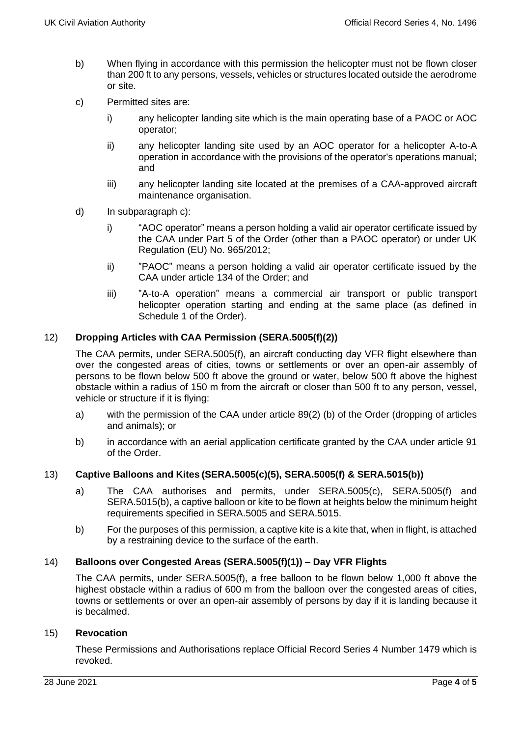- b) When flying in accordance with this permission the helicopter must not be flown closer than 200 ft to any persons, vessels, vehicles or structures located outside the aerodrome or site.
- c) Permitted sites are:
	- i) any helicopter landing site which is the main operating base of a PAOC or AOC operator;
	- ii) any helicopter landing site used by an AOC operator for a helicopter A-to-A operation in accordance with the provisions of the operator's operations manual; and
	- iii) any helicopter landing site located at the premises of a CAA-approved aircraft maintenance organisation.
- d) In subparagraph c):
	- i) "AOC operator" means a person holding a valid air operator certificate issued by the CAA under Part 5 of the Order (other than a PAOC operator) or under UK Regulation (EU) No. 965/2012;
	- ii) "PAOC" means a person holding a valid air operator certificate issued by the CAA under article 134 of the Order; and
	- iii) "A-to-A operation" means a commercial air transport or public transport helicopter operation starting and ending at the same place (as defined in Schedule 1 of the Order).

## 12) **Dropping Articles with CAA Permission (SERA.5005(f)(2))**

The CAA permits, under SERA.5005(f), an aircraft conducting day VFR flight elsewhere than over the congested areas of cities, towns or settlements or over an open-air assembly of persons to be flown below 500 ft above the ground or water, below 500 ft above the highest obstacle within a radius of 150 m from the aircraft or closer than 500 ft to any person, vessel, vehicle or structure if it is flying:

- a) with the permission of the CAA under article 89(2) (b) of the Order (dropping of articles and animals); or
- b) in accordance with an aerial application certificate granted by the CAA under article 91 of the Order.

## 13) **Captive Balloons and Kites (SERA.5005(c)(5), SERA.5005(f) & SERA.5015(b))**

- a) The CAA authorises and permits, under SERA.5005(c), SERA.5005(f) and SERA.5015(b), a captive balloon or kite to be flown at heights below the minimum height requirements specified in SERA.5005 and SERA.5015.
- b) For the purposes of this permission, a captive kite is a kite that, when in flight, is attached by a restraining device to the surface of the earth.

## 14) **Balloons over Congested Areas (SERA.5005(f)(1)) – Day VFR Flights**

The CAA permits, under SERA.5005(f), a free balloon to be flown below 1,000 ft above the highest obstacle within a radius of 600 m from the balloon over the congested areas of cities, towns or settlements or over an open-air assembly of persons by day if it is landing because it is becalmed.

#### 15) **Revocation**

These Permissions and Authorisations replace Official Record Series 4 Number 1479 which is revoked.